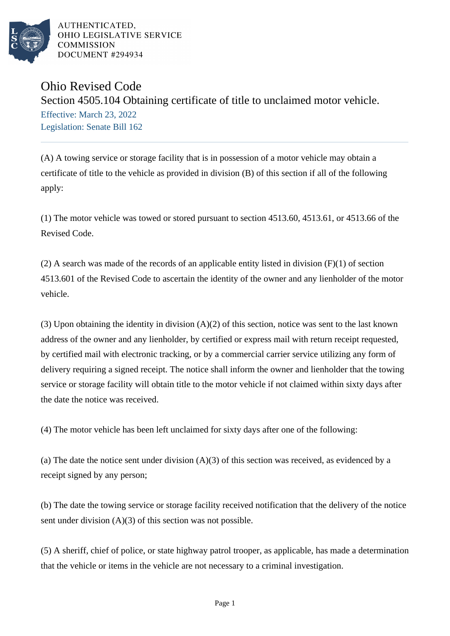

AUTHENTICATED. OHIO LEGISLATIVE SERVICE **COMMISSION** DOCUMENT #294934

## Ohio Revised Code

Section 4505.104 Obtaining certificate of title to unclaimed motor vehicle. Effective: March 23, 2022 Legislation: Senate Bill 162

(A) A towing service or storage facility that is in possession of a motor vehicle may obtain a certificate of title to the vehicle as provided in division (B) of this section if all of the following apply:

(1) The motor vehicle was towed or stored pursuant to section 4513.60, 4513.61, or 4513.66 of the Revised Code.

(2) A search was made of the records of an applicable entity listed in division (F)(1) of section 4513.601 of the Revised Code to ascertain the identity of the owner and any lienholder of the motor vehicle.

(3) Upon obtaining the identity in division (A)(2) of this section, notice was sent to the last known address of the owner and any lienholder, by certified or express mail with return receipt requested, by certified mail with electronic tracking, or by a commercial carrier service utilizing any form of delivery requiring a signed receipt. The notice shall inform the owner and lienholder that the towing service or storage facility will obtain title to the motor vehicle if not claimed within sixty days after the date the notice was received.

(4) The motor vehicle has been left unclaimed for sixty days after one of the following:

(a) The date the notice sent under division (A)(3) of this section was received, as evidenced by a receipt signed by any person;

(b) The date the towing service or storage facility received notification that the delivery of the notice sent under division (A)(3) of this section was not possible.

(5) A sheriff, chief of police, or state highway patrol trooper, as applicable, has made a determination that the vehicle or items in the vehicle are not necessary to a criminal investigation.